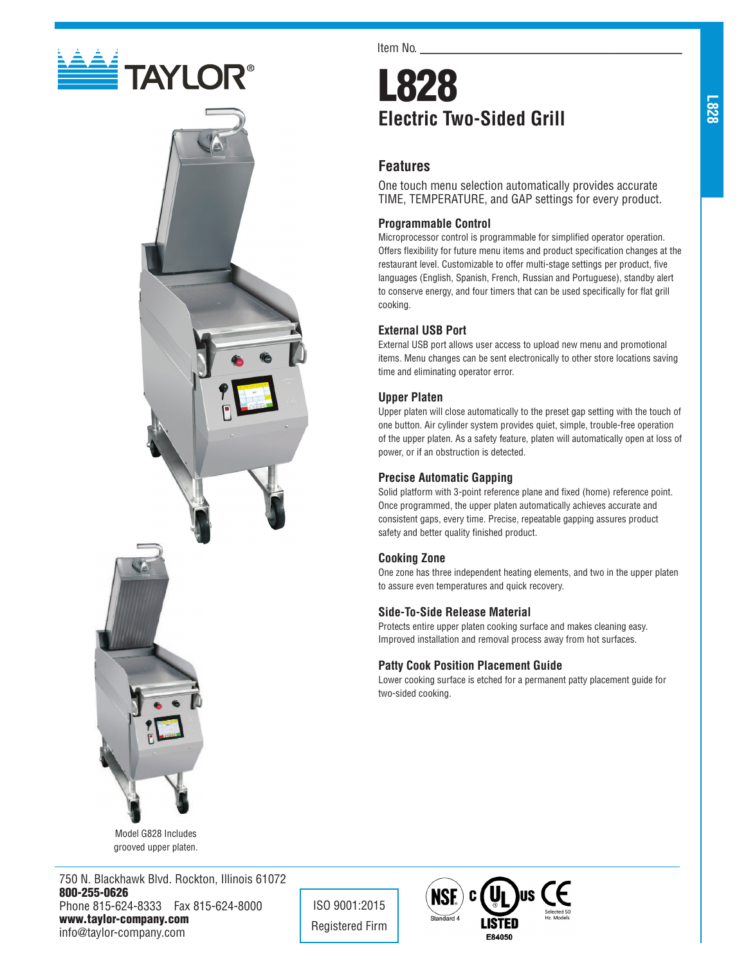



Model G828 Includes grooved upper platen.

750 N. Blackhawk Blvd. Rockton, Illinois 61072 800-255-0626 Phone 815-624-8333 Fax 815-624-8000 www.taylor-company.com info@taylor-company.com

Item No.

# L828 **Electric Two-Sided Grill**

# **Features**

One touch menu selection automatically provides accurate TIME, TEMPERATURE, and GAP settings for every product.

## **Programmable Control**

Microprocessor control is programmable for simplified operator operation. Offers flexibility for future menu items and product specification changes at the restaurant level. Customizable to offer multi-stage settings per product, five languages (English, Spanish, French, Russian and Portuguese), standby alert to conserve energy, and four timers that can be used specifically for flat grill cooking.

## **External USB Port**

External USB port allows user access to upload new menu and promotional items. Menu changes can be sent electronically to other store locations saving time and eliminating operator error.

### **Upper Platen**

Upper platen will close automatically to the preset gap setting with the touch of one button. Air cylinder system provides quiet, simple, trouble-free operation of the upper platen. As a safety feature, platen will automatically open at loss of power, or if an obstruction is detected.

#### **Precise Automatic Gapping**

Solid platform with 3-point reference plane and fixed (home) reference point. Once programmed, the upper platen automatically achieves accurate and consistent gaps, every time. Precise, repeatable gapping assures product safety and better quality finished product.

#### **Cooking Zone**

ISO 9001:2015 Registered Firm

One zone has three independent heating elements, and two in the upper platen to assure even temperatures and quick recovery.

### **Side-To-Side Release Material**

Protects entire upper platen cooking surface and makes cleaning easy. Improved installation and removal process away from hot surfaces.

#### **Patty Cook Position Placement Guide**

Lower cooking surface is etched for a permanent patty placement guide for two-sided cooking.